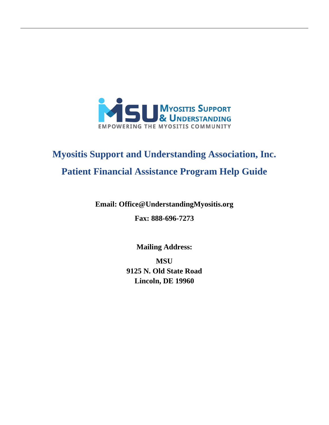

# **Myositis Support and Understanding Association, Inc. Patient Financial Assistance Program Help Guide**

## **Email: [Office@UnderstandingMyositis.org](mailto:Office@UnderstandingMyositis.org)**

**Fax: 888-696-7273**

**Mailing Address:**

**MSU 9125 N. Old State Road Lincoln, DE 19960**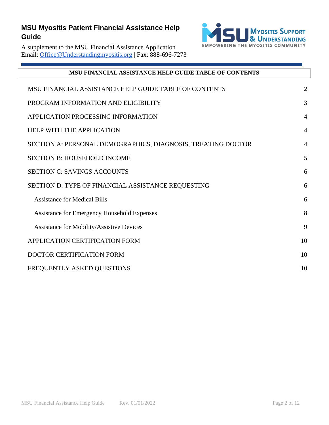

A supplement to the MSU Financial Assistance Application Email: [Office@Understandingmyositis.org](mailto:Office@Understandingmyositis.org) | Fax: 888-696-7273

<span id="page-1-0"></span>

| <b>MSU FINANCIAL ASSISTANCE HELP GUIDE TABLE OF CONTENTS</b> |                |  |
|--------------------------------------------------------------|----------------|--|
| MSU FINANCIAL ASSISTANCE HELP GUIDE TABLE OF CONTENTS        | 2              |  |
| PROGRAM INFORMATION AND ELIGIBILITY                          | 3              |  |
| APPLICATION PROCESSING INFORMATION                           | $\overline{4}$ |  |
| <b>HELP WITH THE APPLICATION</b>                             | $\overline{4}$ |  |
| SECTION A: PERSONAL DEMOGRAPHICS, DIAGNOSIS, TREATING DOCTOR | $\overline{4}$ |  |
| <b>SECTION B: HOUSEHOLD INCOME</b>                           | 5              |  |
| <b>SECTION C: SAVINGS ACCOUNTS</b>                           | 6              |  |
| SECTION D: TYPE OF FINANCIAL ASSISTANCE REQUESTING           | 6              |  |
| <b>Assistance for Medical Bills</b>                          | 6              |  |
| <b>Assistance for Emergency Household Expenses</b>           | 8              |  |
| <b>Assistance for Mobility/Assistive Devices</b>             | 9              |  |
| APPLICATION CERTIFICATION FORM                               | 10             |  |
| <b>DOCTOR CERTIFICATION FORM</b>                             | 10             |  |
| FREQUENTLY ASKED QUESTIONS                                   | 10             |  |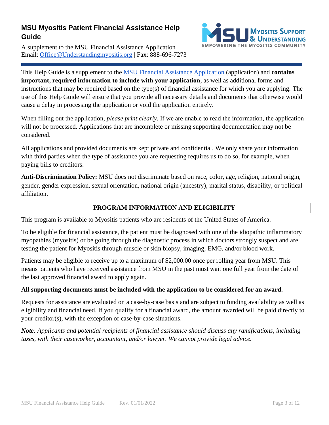A supplement to the MSU Financial Assistance Application Email: [Office@Understandingmyositis.org](mailto:Office@Understandingmyositis.org) | Fax: 888-696-7273



This Help Guide is a supplement to the [MSU Financial Assistance Application](https://understandingmyositis.org/docs/assistance/MSU-Financial-Assistance-Application.pdf) (application) and **contains important, required information to include with your application**, as well as additional forms and instructions that may be required based on the type(s) of financial assistance for which you are applying. The use of this Help Guide will ensure that you provide all necessary details and documents that otherwise would cause a delay in processing the application or void the application entirely.

When filling out the application, *please print clearly*. If we are unable to read the information, the application will not be processed. Applications that are incomplete or missing supporting documentation may not be considered.

All applications and provided documents are kept private and confidential. We only share your information with third parties when the type of assistance you are requesting requires us to do so, for example, when paying bills to creditors.

**Anti-Discrimination Policy:** MSU does not discriminate based on race, color, age, religion, national origin, gender, gender expression, sexual orientation, national origin (ancestry), marital status, disability, or political affiliation.

### **PROGRAM INFORMATION AND ELIGIBILITY**

<span id="page-2-0"></span>This program is available to Myositis patients who are residents of the United States of America.

To be eligible for financial assistance, the patient must be diagnosed with one of the idiopathic inflammatory myopathies (myositis) or be going through the diagnostic process in which doctors strongly suspect and are testing the patient for Myositis through muscle or skin biopsy, imaging, EMG, and/or blood work.

Patients may be eligible to receive up to a maximum of \$2,000.00 once per rolling year from MSU. This means patients who have received assistance from MSU in the past must wait one full year from the date of the last approved financial award to apply again.

#### **All supporting documents must be included with the application to be considered for an award.**

Requests for assistance are evaluated on a case-by-case basis and are subject to funding availability as well as eligibility and financial need. If you qualify for a financial award, the amount awarded will be paid directly to your creditor(s), with the exception of case-by-case situations.

*Note: Applicants and potential recipients of financial assistance should discuss any ramifications, including taxes, with their caseworker, accountant, and/or lawyer. We cannot provide legal advice.*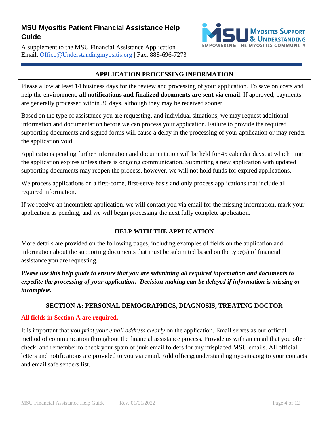A supplement to the MSU Financial Assistance Application Email: [Office@Understandingmyositis.org](mailto:Office@Understandingmyositis.org) | Fax: 888-696-7273



#### **APPLICATION PROCESSING INFORMATION**

<span id="page-3-0"></span>Please allow at least 14 business days for the review and processing of your application. To save on costs and help the environment, **all notifications and finalized documents are sent via email**. If approved, payments are generally processed within 30 days, although they may be received sooner.

Based on the type of assistance you are requesting, and individual situations, we may request additional information and documentation before we can process your application. Failure to provide the required supporting documents and signed forms will cause a delay in the processing of your application or may render the application void.

Applications pending further information and documentation will be held for 45 calendar days, at which time the application expires unless there is ongoing communication. Submitting a new application with updated supporting documents may reopen the process, however, we will not hold funds for expired applications.

We process applications on a first-come, first-serve basis and only process applications that include all required information.

If we receive an incomplete application, we will contact you via email for the missing information, mark your application as pending, and we will begin processing the next fully complete application.

### **HELP WITH THE APPLICATION**

<span id="page-3-1"></span>More details are provided on the following pages, including examples of fields on the application and information about the supporting documents that must be submitted based on the type(s) of financial assistance you are requesting.

*Please use this help guide to ensure that you are submitting all required information and documents to expedite the processing of your application. Decision-making can be delayed if information is missing or incomplete.*

#### **SECTION A: PERSONAL DEMOGRAPHICS, DIAGNOSIS, TREATING DOCTOR**

#### <span id="page-3-2"></span>**All fields in Section A are required.**

It is important that you *print your email address clearly* on the application. Email serves as our official method of communication throughout the financial assistance process. Provide us with an email that you often check, and remember to check your spam or junk email folders for any misplaced MSU emails. All official letters and notifications are provided to you via email. Add office@understandingmyositis.org to your contacts and email safe senders list.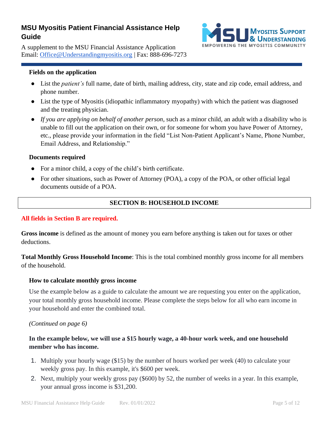A supplement to the MSU Financial Assistance Application Email: [Office@Understandingmyositis.org](mailto:Office@Understandingmyositis.org) | Fax: 888-696-7273

#### **Fields on the application**

- List the *patient's* full name, date of birth, mailing address, city, state and zip code, email address, and phone number.
- List the type of Myositis (idiopathic inflammatory myopathy) with which the patient was diagnosed and the treating physician.
- *If you are applying on behalf of another person*, such as a minor child, an adult with a disability who is unable to fill out the application on their own, or for someone for whom you have Power of Attorney, etc., please provide your information in the field "List Non-Patient Applicant's Name, Phone Number, Email Address, and Relationship."

#### **Documents required**

- For a minor child, a copy of the child's birth certificate.
- For other situations, such as Power of Attorney (POA), a copy of the POA, or other official legal documents outside of a POA.

#### **SECTION B: HOUSEHOLD INCOME**

#### <span id="page-4-0"></span>**All fields in Section B are required.**

**Gross income** is defined as the amount of money you earn before anything is taken out for taxes or other deductions.

**Total Monthly Gross Household Income**: This is the total combined monthly gross income for all members of the household.

#### **How to calculate monthly gross income**

Use the example below as a guide to calculate the amount we are requesting you enter on the application, your total monthly gross household income. Please complete the steps below for all who earn income in your household and enter the combined total.

#### *(Continued on page 6)*

#### **In the example below, we will use a \$15 hourly wage, a 40-hour work week, and one household member who has income.**

- 1. Multiply your hourly wage (\$15) by the number of hours worked per week (40) to calculate your weekly gross pay. In this example, it's \$600 per week.
- 2. Next, multiply your weekly gross pay (\$600) by 52, the number of weeks in a year. In this example, your annual gross income is \$31,200.

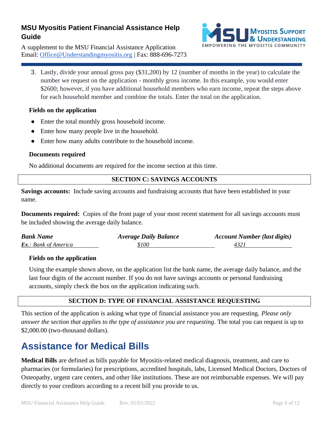A supplement to the MSU Financial Assistance Application Email: [Office@Understandingmyositis.org](mailto:Office@Understandingmyositis.org) | Fax: 888-696-7273



3. Lastly, divide your annual gross pay (\$31,200) by 12 (number of months in the year) to calculate the number we request on the application - monthly gross income. In this example, you would enter \$2600; however, if you have additional household members who earn income, repeat the steps above for each household member and combine the totals. Enter the total on the application.

#### **Fields on the application**

- Enter the total monthly gross household income.
- Enter how many people live in the household.
- Enter how many adults contribute to the household income.

#### **Documents required**

No additional documents are required for the income section at this time.

#### **SECTION C: SAVINGS ACCOUNTS**

<span id="page-5-0"></span>**Savings accounts:** Include saving accounts and fundraising accounts that have been established in your name.

**Documents required:** Copies of the front page of your most recent statement for all savings accounts must be included showing the average daily balance.

| <b>Bank Name</b>            | <b>Average Daily Balance</b> | <b>Account Number (last digits)</b> |
|-----------------------------|------------------------------|-------------------------------------|
| <b>Ex.:</b> Bank of America | \$100                        | 4321                                |

#### **Fields on the application**

Using the example shown above, on the application list the bank name, the average daily balance, and the last four digits of the account number. If you do not have savings accounts or personal fundraising accounts, simply check the box on the application indicating such.

#### **SECTION D: TYPE OF FINANCIAL ASSISTANCE REQUESTING**

<span id="page-5-1"></span>This section of the application is asking what type of financial assistance you are requesting. *Please only answer the section that applies to the type of assistance you are requesting*. The total you can request is up to \$2,000.00 (two-thousand dollars).

## <span id="page-5-2"></span>**Assistance for Medical Bills**

**Medical Bills** are defined as bills payable for Myositis-related medical diagnosis, treatment, and care to pharmacies (or formularies) for prescriptions, accredited hospitals, labs, Licensed Medical Doctors, Doctors of Osteopathy, urgent care centers, and other like institutions. These are not reimbursable expenses. We will pay directly to your creditors according to a recent bill you provide to us.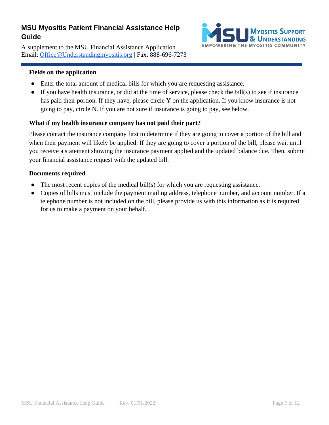A supplement to the MSU Financial Assistance Application Email: [Office@Understandingmyositis.org](mailto:Office@Understandingmyositis.org) | Fax: 888-696-7273



#### **Fields on the application**

- Enter the total amount of medical bills for which you are requesting assistance.
- If you have health insurance, or did at the time of service, please check the bill(s) to see if insurance has paid their portion. If they have, please circle Y on the application. If you know insurance is not going to pay, circle N. If you are not sure if insurance is going to pay, see below.

#### **What if my health insurance company has not paid their part?**

Please contact the insurance company first to determine if they are going to cover a portion of the bill and when their payment will likely be applied. If they are going to cover a portion of the bill, please wait until you receive a statement showing the insurance payment applied and the updated balance due. Then, submit your financial assistance request with the updated bill.

#### **Documents required**

- The most recent copies of the medical bill(s) for which you are requesting assistance.
- <span id="page-6-0"></span>● Copies of bills must include the payment mailing address, telephone number, and account number. If a telephone number is not included on the bill, please provide us with this information as it is required for us to make a payment on your behalf.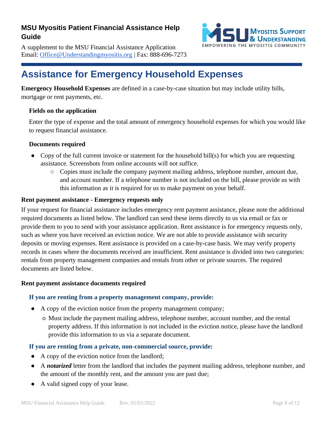A supplement to the MSU Financial Assistance Application Email: [Office@Understandingmyositis.org](mailto:Office@Understandingmyositis.org) | Fax: 888-696-7273



## **Assistance for Emergency Household Expenses**

**Emergency Household Expenses** are defined in a case-by-case situation but may include utility bills, mortgage or rent payments, etc.

#### **Fields on the application**

Enter the type of expense and the total amount of emergency household expenses for which you would like to request financial assistance.

#### **Documents required**

- Copy of the full current invoice or statement for the household bill(s) for which you are requesting assistance. Screenshots from online accounts will not suffice.
	- Copies must include the company payment mailing address, telephone number, amount due, and account number. If a telephone number is not included on the bill, please provide us with this information as it is required for us to make payment on your behalf.

#### **Rent payment assistance - Emergency requests only**

If your request for financial assistance includes emergency rent payment assistance, please note the additional required documents as listed below. The landlord can send these items directly to us via email or fax or provide them to you to send with your assistance application. Rent assistance is for emergency requests only, such as where you have received an eviction notice. We are not able to provide assistance with security deposits or moving expenses. Rent assistance is provided on a case-by-case basis. We may verify property records in cases where the documents received are insufficient. Rent assistance is divided into two categories: rentals from property management companies and rentals from other or private sources. The required documents are listed below.

#### **Rent payment assistance documents required**

#### **If you are renting from a property management company, provide:**

- **●** A copy of the eviction notice from the property management company;
	- **○** Must include the payment mailing address, telephone number, account number, and the rental property address. If this information is not included in the eviction notice, please have the landlord provide this information to us via a separate document.

#### **If you are renting from a private, non-commercial source, provide:**

- **●** A copy of the eviction notice from the landlord;
- A *notarized* letter from the landlord that includes the payment mailing address, telephone number, and the amount of the monthly rent, and the amount you are past due;
- A valid signed copy of your lease.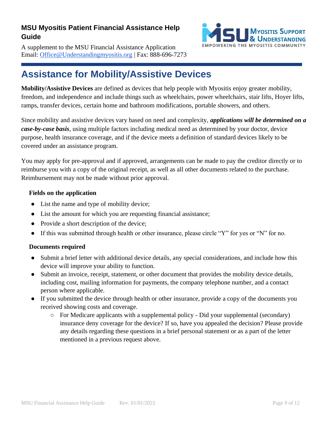A supplement to the MSU Financial Assistance Application Email: [Office@Understandingmyositis.org](mailto:Office@Understandingmyositis.org) | Fax: 888-696-7273



## <span id="page-8-0"></span>**Assistance for Mobility/Assistive Devices**

**Mobility/Assistive Devices** are defined as devices that help people with Myositis enjoy greater mobility, freedom, and independence and include things such as wheelchairs, power wheelchairs, stair lifts, Hoyer lifts, ramps, transfer devices, certain home and bathroom modifications, portable showers, and others.

Since mobility and assistive devices vary based on need and complexity, *applications will be determined on a case-by-case basis*, using multiple factors including medical need as determined by your doctor, device purpose, health insurance coverage, and if the device meets a definition of standard devices likely to be covered under an assistance program.

You may apply for pre-approval and if approved, arrangements can be made to pay the creditor directly or to reimburse you with a copy of the original receipt, as well as all other documents related to the purchase. Reimbursement may not be made without prior approval.

#### **Fields on the application**

- List the name and type of mobility device;
- List the amount for which you are requesting financial assistance;
- Provide a short description of the device;
- If this was submitted through health or other insurance, please circle "Y" for yes or "N" for no.

#### **Documents required**

- Submit a brief letter with additional device details, any special considerations, and include how this device will improve your ability to function.
- Submit an invoice, receipt, statement, or other document that provides the mobility device details, including cost, mailing information for payments, the company telephone number, and a contact person where applicable.
- If you submitted the device through health or other insurance, provide a copy of the documents you received showing costs and coverage.
	- For Medicare applicants with a supplemental policy Did your supplemental (secondary) insurance deny coverage for the device? If so, have you appealed the decision? Please provide any details regarding these questions in a brief personal statement or as a part of the letter mentioned in a previous request above.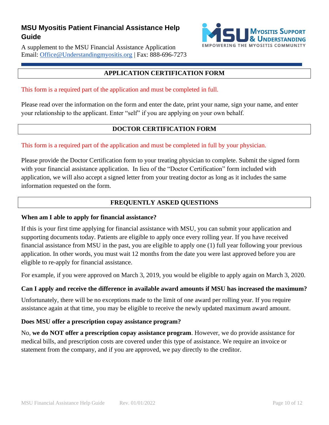A supplement to the MSU Financial Assistance Application Email: [Office@Understandingmyositis.org](mailto:Office@Understandingmyositis.org) | Fax: 888-696-7273



#### **APPLICATION CERTIFICATION FORM**

<span id="page-9-0"></span>This form is a required part of the application and must be completed in full.

Please read over the information on the form and enter the date, print your name, sign your name, and enter your relationship to the applicant. Enter "self" if you are applying on your own behalf.

### **DOCTOR CERTIFICATION FORM**

#### <span id="page-9-1"></span>This form is a required part of the application and must be completed in full by your physician.

Please provide the Doctor Certification form to your treating physician to complete. Submit the signed form with your financial assistance application. In lieu of the "Doctor Certification" form included with application, we will also accept a signed letter from your treating doctor as long as it includes the same information requested on the form.

### **FREQUENTLY ASKED QUESTIONS**

#### <span id="page-9-2"></span>**When am I able to apply for financial assistance?**

If this is your first time applying for financial assistance with MSU, you can submit your application and supporting documents today. Patients are eligible to apply once every rolling year. If you have received financial assistance from MSU in the past, you are eligible to apply one (1) full year following your previous application. In other words, you must wait 12 months from the date you were last approved before you are eligible to re-apply for financial assistance.

For example, if you were approved on March 3, 2019, you would be eligible to apply again on March 3, 2020.

#### **Can I apply and receive the difference in available award amounts if MSU has increased the maximum?**

Unfortunately, there will be no exceptions made to the limit of one award per rolling year. If you require assistance again at that time, you may be eligible to receive the newly updated maximum award amount.

#### **Does MSU offer a prescription copay assistance program?**

No, **we do NOT offer a prescription copay assistance program**. However, we do provide assistance for medical bills, and prescription costs are covered under this type of assistance. We require an invoice or statement from the company, and if you are approved, we pay directly to the creditor.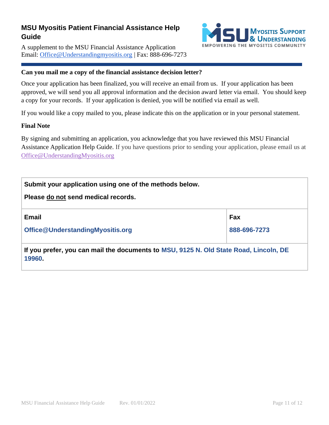A supplement to the MSU Financial Assistance Application Email: [Office@Understandingmyositis.org](mailto:Office@Understandingmyositis.org) | Fax: 888-696-7273



#### **Can you mail me a copy of the financial assistance decision letter?**

Once your application has been finalized, you will receive an email from us. If your application has been approved, we will send you all approval information and the decision award letter via email. You should keep a copy for your records. If your application is denied, you will be notified via email as well.

If you would like a copy mailed to you, please indicate this on the application or in your personal statement.

#### **Final Note**

By signing and submitting an application, you acknowledge that you have reviewed this MSU Financial Assistance Application Help Guide. If you have questions prior to sending your application, please email us at [Office@UnderstandingMyositis.org](mailto:Office@UnderstandingMyositis.org)

| Submit your application using one of the methods below.                                         |              |  |  |
|-------------------------------------------------------------------------------------------------|--------------|--|--|
| Please do not send medical records.                                                             |              |  |  |
| <b>Email</b>                                                                                    | Fax          |  |  |
| Office@UnderstandingMyositis.org                                                                | 888-696-7273 |  |  |
| If you prefer, you can mail the documents to MSU, 9125 N. Old State Road, Lincoln, DE<br>19960. |              |  |  |